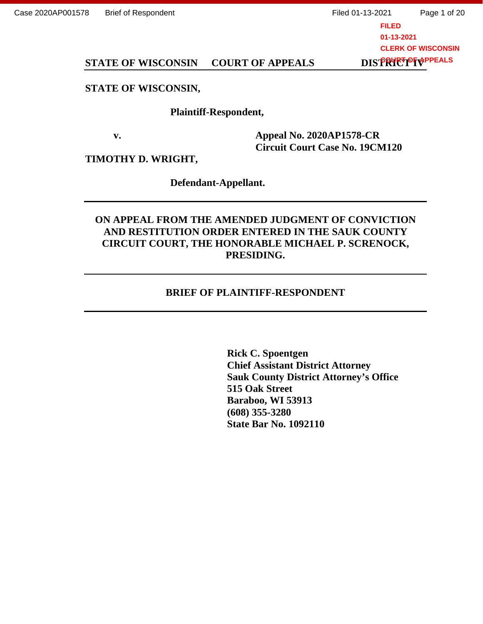# STATE OF WISCONSIN COURT OF APPEALS **STATE OF WISCONSIN COURT OF APPEALS DISTRICT OF WISCONSIN,<br>STATE OF WISCONSIN, Plaintiff-Respondent,**

#### STATE OF WISCONSIN,

#### Plaintiff-Respondent,

v. Appeal No. 2020AP1578-CR Circuit Court Case No. 19CM120 **v. Appeal No. 2020AP1578-CR Circuit Court Case No. 19CM120** 

TIMOTHY D. WRIGHT,<br>Defendant-Appellant.

Defendant-Appellant.

# ON APPEAL FROM THE AMENDED JUDGMENT OF CONVICTION **ON APPEAL FROM THE AMENDED JUDGMENT OF CONVICTION**  AND RESTITUTION ORDER ENTERED IN THE SAUK COUNTY **AND RESTITUTION ORDER ENTERED IN THE SAUK COUNTY**  CIRCUIT COURT, THE HONORABLE MICHAEL P. SCRENOCK, **CIRCUIT COURT, THE HONORABLE MICHAEL P. SCRENOCK, PRESIDING.**  PRESIDING.

#### BRIEF OF PLAINTIFF-RESPONDENT

Rick C. Spoentgen Chief Assistant District Attorney Sauk County District Attorney's Office **Sauk County District Attorney's Office**  515 Oak Street Baraboo, WI 53913 (608) 355-3280 State Bar No. 1092110 **State Bar No. 1092110 BRIEF OF PLAINTIFF-RESPONDENT<br>Rick C. Spoentgen<br>Chief Assistant District Attorney 515 Oak Street Baraboo, WI 53913 (608) 355-3280**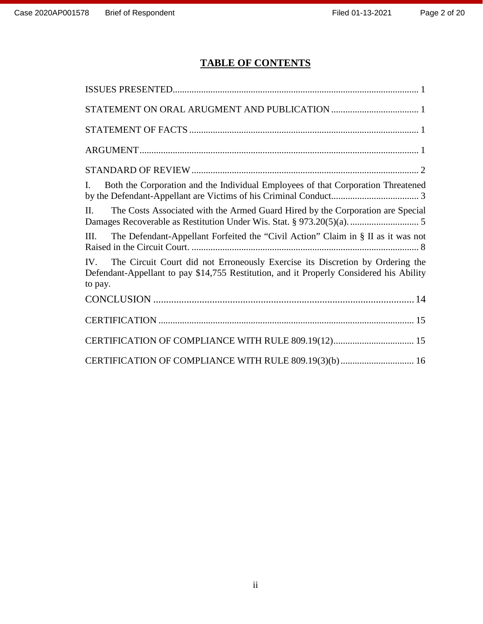# TABLE OF CONTENTS **TABLE OF CONTENTS**

| Both the Corporation and the Individual Employees of that Corporation Threatened<br>L                                                                                                           |
|-------------------------------------------------------------------------------------------------------------------------------------------------------------------------------------------------|
| The Costs Associated with the Armed Guard Hired by the Corporation are Special<br>$\Pi$                                                                                                         |
| The Defendant-Appellant Forfeited the "Civil Action" Claim in § II as it was not<br>Ш.                                                                                                          |
| The Circuit Court did not Erroneously Exercise its Discretion by Ordering the<br>$IV_{-}$<br>Defendant-Appellant to pay \$14,755 Restitution, and it Properly Considered his Ability<br>to pay. |
|                                                                                                                                                                                                 |
|                                                                                                                                                                                                 |
| CERTIFICATION OF COMPLIANCE WITH RULE 809.19(12) 15                                                                                                                                             |
| CERTIFICATION OF COMPLIANCE WITH RULE 809.19(3)(b) 16                                                                                                                                           |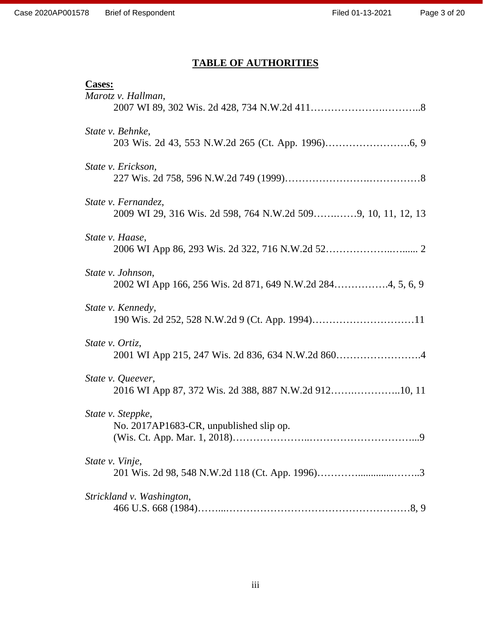| Case 2020AP001578 Brief of Respondent                                               | Filed 01-13-2021 | Pε |
|-------------------------------------------------------------------------------------|------------------|----|
| <b>TABLE OF AUTHORITIES</b>                                                         |                  |    |
| <b>Cases:</b><br>Marotz v. Hallman,                                                 |                  |    |
| State v. Behnke,                                                                    |                  |    |
| State v. Erickson,                                                                  |                  |    |
| State v. Fernandez,<br>2009 WI 29, 316 Wis. 2d 598, 764 N.W.2d 5099, 10, 11, 12, 13 |                  |    |
| State v. Haase,                                                                     |                  |    |
| State v. Johnson,<br>2002 WI App 166, 256 Wis. 2d 871, 649 N.W.2d 2844, 5, 6, 9     |                  |    |
| State v. Kennedy,                                                                   |                  |    |
| State v. Ortiz,                                                                     |                  |    |
| State v. Queever,<br>2016 WI App 87, 372 Wis. 2d 388, 887 N.W.2d 91210, 11          |                  |    |
| State v. Steppke,<br>No. 2017AP1683-CR, unpublished slip op.                        |                  |    |
| State v. Vinje,                                                                     |                  |    |
| Strickland v. Washington,                                                           |                  |    |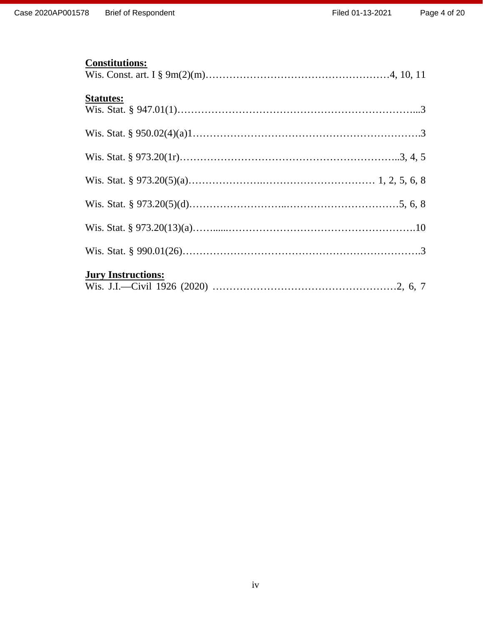#### Constitutions: **Constitutions:**

| Case 2020AP001578 Brief of Respondent |                           | Filed 01-13-2021 | $P\epsilon$ |
|---------------------------------------|---------------------------|------------------|-------------|
|                                       | <b>Constitutions:</b>     |                  |             |
|                                       | <b>Statutes:</b>          |                  |             |
|                                       |                           |                  |             |
|                                       |                           |                  |             |
|                                       |                           |                  |             |
|                                       |                           |                  |             |
|                                       |                           |                  |             |
|                                       |                           |                  |             |
|                                       | <b>Jury Instructions:</b> |                  |             |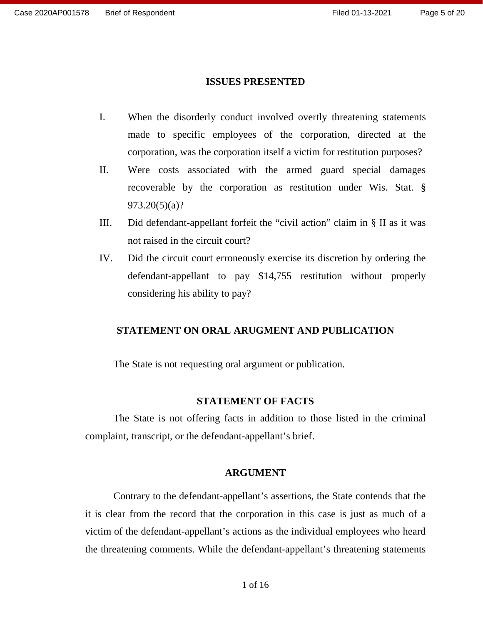# ISSUES PRESENTED **ISSUES PRESENTED**

- I. When the disorderly conduct involved overtly threatening statements made to specific employees of the corporation, directed at the I. When the disorderly conduct involved overtly threatening statements<br>made to specific employees of the corporation, directed at the<br>corporation, was the corporation itself a victim for restitution purposes?
- II. Were costs associated with the armed guard special damages II. Were costs associated with the armed guard special damages recoverable by the corporation as restitution under Wis. Stat. §  $973.20(5)(a)?$
- III. Did defendant-appellant forfeit the "civil action" claim in § II as it was 973.20(5)(a)? III. Did defendant-appellant forfeit the "civil action" claim in § II as it was not raised in the circuit court?
- IV. Did the circuit court erroneously exercise its discretion by ordering the not raised in the circuit court?<br>IV. Did the circuit court erroneously exercise its discretion by ordering the<br>defendant-appellant to pay \$14,755 restitution without properly considering his ability to pay? considering his ability to pay?

### STATEMENT ON ORAL ARUGMENT AND PUBLICATION **STATEMENT ON ORAL ARUGMENT AND PUBLICATION**

The State is not requesting oral argument or publication. The State is not requesting oral argument or publication.

#### STATEMENT OF FACTS **STATEMENT OF FACTS**

The State is not offering facts in addition to those listed in the criminal complaint, transcript, or the defendant-appellant's brief. complaint, transcript, or the defendant-appellant's brief.

#### ARGUMENT **ARGUMENT**

Contrary to the defendant-appellant's assertions, the State contends that the Contrary to the defendant-appellant's assertions, the State contends that the<br>it is clear from the record that the corporation in this case is just as much of a victim of the defendant-appellant's actions as the individual employees who heard<br>the threatening comments. While the defendant-appellant's threatening statements the threatening comments. While the defendant-appellant's threatening statements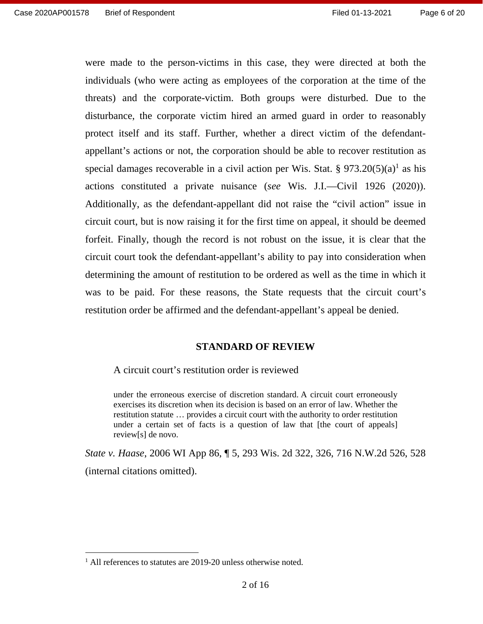were made to the person-victims in this case, they were directed at both the individuals (who were acting as employees of the corporation at the time of the individuals (who were acting as employees of the corporation at the time of the threats) and the corporate-victim. Both groups were disturbed. Due to the disturbance, the corporate victim hired an armed guard in order to reasonably disturbance, the corporate victim hired an armed guard in order to reasonably protect itself and its staff. Further, whether a direct victim of the defendant-protect itself and its staff. Further, whether a direct victim of the defendantappellant's actions or not, the corporation should be able to recover restitution as appellant's actions or not, the corporation should be able to recover restitution as<br>special damages recoverable in a civil action per Wis. Stat.  $\S 973.20(5)(a)^1$  as his actions constituted a private nuisance (see Wis. J.I.—Civil 1926 (2020)). actions constituted a private nuisance (see Wis. J.I.—Civil 1926 (2020)).<br>Additionally, as the defendant-appellant did not raise the "civil action" issue in circuit court, but is now raising it for the first time on appeal, it should be deemed forfeit. Finally, though the record is not robust on the issue, it is clear that the circuit court took the defendant-appellant's ability to pay into consideration when determining the amount of restitution to be ordered as well as the time in which it was to be paid. For these reasons, the State requests that the circuit court's restitution order be affirmed and the defendant-appellant's appeal be denied. circuit court, but is now raising it for the first time on appeal, it should be deemed<br>forfeit. Finally, though the record is not robust on the issue, it is clear that the<br>circuit court took the defendant-appellant's abili

#### STANDARD OF REVIEW **STANDARD OF REVIEW**

A circuit court's restitution order is reviewed A circuit court's restitution order is reviewed

under the erroneous exercise of discretion standard. A circuit court erroneously under the erroneous exercise of discretion standard. A circuit court erroneously exercises its discretion when its decision is based on an error of law. Whether the restitution statute ... provides a circuit court with the authority to order restitution under a certain set of facts is a question of law that [the court of appeals] review[s] de novo. restitution statute … provides a circuit court with the authority to order restitution under a certain set of facts is a question of law that [the court of appeals] review[s] de novo.

State v. Haase, 2006 WI App 86, ¶ 5, 293 Wis. 2d 322, 326, 716 N.W.2d 526, 528 *State v. Haase*, 2006 WI App 86, ¶ 5, 293 Wis. 2d 322, 326, 716 N.W.2d 526, 528 (internal citations omitted). (internal citations omitted).

<sup>1</sup> All references to statutes are 2019-20 unless otherwise noted. 1 All references to statutes are 2019-20 unless otherwise noted.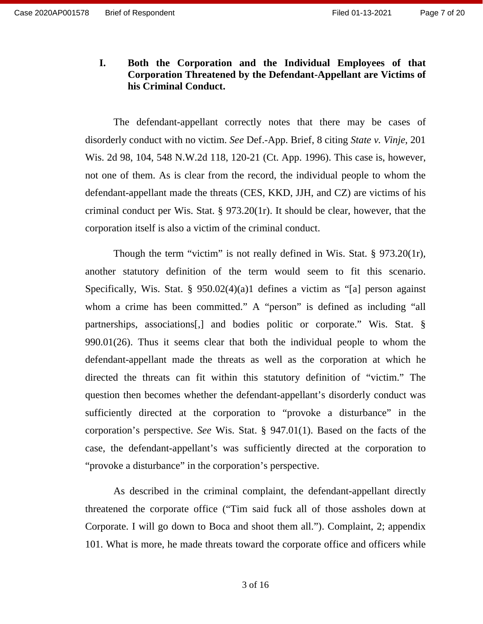#### I. Both the Corporation and the Individual Employees of that Corporation Threatened by the Defendant-Appellant are Victims of his Criminal Conduct. **I. Both the Corporation and the Individual Employees of that Corporation Threatened by the Defendant-Appellant are Victims of his Criminal Conduct.**

The defendant-appellant correctly notes that there may be cases of The defendant-appellant correctly notes that there may be cases of disorderly conduct with no victim. See Def.-App. Brief, 8 citing State v. Vinje, 201 Wis. 2d 98, 104, 548 N.W.2d 118, 120-21 (Ct. App. 1996). This case is, however, not one of them. As is clear from the record, the individual people to whom the defendant-appellant made the threats (CES, KKD, JJH, and CZ) are victims of his disorderly conduct with no victim. *See* Def.-App. Brief, 8 citing *State v. Vinje*, 201 Wis. 2d 98, 104, 548 N.W.2d 118, 120-21 (Ct. App. 1996). This case is, however, not one of them. As is clear from the record, the ind corporation itself is also a victim of the criminal conduct.

corporation itself is also a victim of the criminal conduct.<br>Though the term "victim" is not really defined in Wis. Stat. § 973.20(1r), another statutory definition of the term would seem to fit this scenario.<br>Specifically, Wis. Stat. §  $950.02(4)(a)1$  defines a victim as "[a] person against Specifically, Wis. Stat. § 950.02(4)(a)1 defines a victim as "[a] person against whom a crime has been committed." A "person" is defined as including "all whom a crime has been committed." A "person" is defined as including "all partnerships, associations[,] and bodies politic or corporate." Wis. Stat. § 990.01(26). Thus it seems clear that both the individual people to whom the defendant-appellant made the threats as well as the corporation at which he directed the threats can fit within this statutory definition of "victim." The question then becomes whether the defendant-appellant's disorderly conduct was sufficiently directed at the corporation to "provoke a disturbance" in the corporation's perspective. See Wis. Stat. § 947.01(1). Based on the facts of the case, the defendant-appellant's was sufficiently directed at the corporation to "provoke a disturbance" in the corporation's perspective. "provoke a disturbance" in the corporation's perspective. partnerships, associations[,] and bodies politic or corporate." Wis. Stat. § 990.01(26). Thus it seems clear that both the individual people to whom the defendant-appellant made the threats as well as the corporation at wh Thus 2020/001578 Brief of Respondent<br>
Inserting This Correlation and the Individual Employees of that<br>
Corporation Turestened by the Defendant-Appellant are Vietins of<br>
Inserting Confident Conduct.<br>
The defendant-speplina

As described in the criminal complaint, the defendant-appellant directly threatened the corporate office ("Tim said fuck all of those assholes down at Corporate. I will go down to Boca and shoot them all."). Complaint, 2; appendix 101. What is more, he made threats toward the corporate office and officers while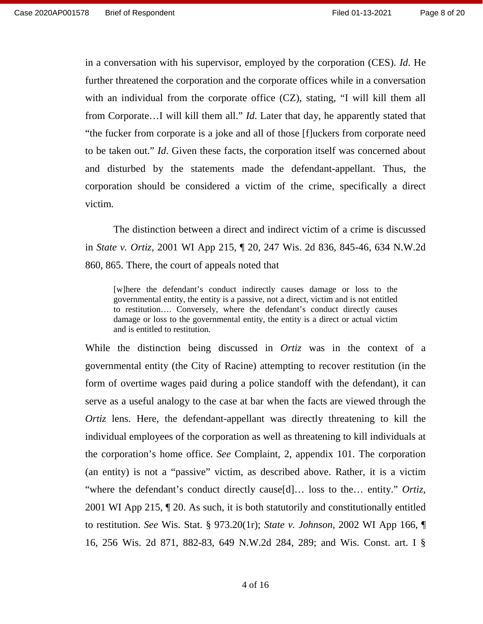in a conversation with his supervisor, employed by the corporation (CES). *Id*. He further threatened the corporation and the corporate offices while in a conversation further threatened the corporation and the corporate offices while in a conversation with an individual from the corporate office (CZ), stating, "I will kill them all from Corporate...I will kill them all." *Id*. Later that day, he apparently stated that "the fucker from corporate is a joke and all of those [f]uckers from corporate need to be taken out." Id. Given these facts, the corporation itself was concerned about to be taken out." *Id*. Given these facts, the corporation itself was concerned about<br>and disturbed by the statements made the defendant-appellant. Thus, the corporation should be considered a victim of the crime, specifically a direct victim. with an individual from the corporate office (CZ), stating, "I will kill them all<br>from Corporate...I will kill them all." *Id*. Later that day, he apparently stated that<br>"the fucker from corporate is a joke and all of thos

The distinction between a direct and indirect victim of a crime is discussed in State v. Ortiz, 2001 WI App 215, ¶ 20, 247 Wis. 2d 836, 845-46, 634 N.W.2d 860, 865. There, the court of appeals noted that corporation should be considered a victim of the crime, specifically a direct<br>victim.<br>The distinction between a direct and indirect victim of a crime is discussed<br>in *State v. Ortiz*, 2001 WI App 215,  $\P$  20, 247 Wis. 2d

[w]here the defendant's conduct indirectly causes damage or loss to the governmental entity, the entity is a passive, not a direct, victim and is not entitled to restitution.... Conversely, where the defendant's conduct di governmental entity, the entity is a passive, not a direct, victim and is not entitled to restitution.... Conversely, where the defendant's conduct directly causes damage or loss to the governmental entity, the entity is a direct or actual victim and is entitled to restitution.

While the distinction being discussed in *Ortiz* was in the context of a governmental entity (the City of Racine) attempting to recover restitution (in the governmental entity (the City of Racine) attempting to recover restitution (in the form of overtime wages paid during a police standoff with the defendant), it can<br>serve as a useful analogy to the case at bar when the facts are viewed through the serve as a useful analogy to the case at bar when the facts are viewed through the Ortiz lens. Here, the defendant-appellant was directly threatening to kill the individual employees of the corporation as well as threatening to kill individuals at the corporation's home office. See Complaint, 2, appendix 101. The corporation (an entity) is not a "passive" victim, as described above. Rather, it is a victim Ortiz lens. Here, the defendant-appellant was directly threatening to kill the individual employees of the corporation as well as threatening to kill individuals at the corporation's home office. *See* Complaint, 2, appen 2001 WI App 215, ¶ 20. As such, it is both statutorily and constitutionally entitled 2001 WI App 215, ¶ 20. As such, it is both statutorily and constitutionally entitled to restitution. See Wis. Stat. § 973.20(1r); State v. Johnson, 2002 WI App 166, ¶ to restitution. *See* Wis. Stat. § 973.20(1r); *State v. Johnson*, 2002 WI App 166, ¶ 16, 256 Wis. 2d 871, 882-83, 649 N.W.2d 284, 289; and Wis. Const. art. I § First 01-13-2021 Frame Principles of the Space of the Constrainer of CES). *Id.* He further three denoted the component of the constrainer of the simulation with an individual from the conportation and the conportation wi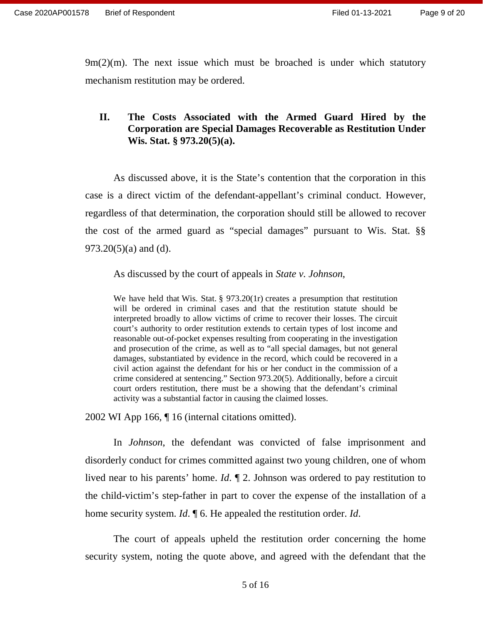9m(2)(m). The next issue which must be broached is under which statutory 9m(2)(m). The next issue which must be broached is under which statutory mechanism restitution may be ordered. mechanism restitution may be ordered.

#### II. The Costs Associated with the Armed Guard Hired by the Corporation are Special Damages Recoverable as Restitution Under Wis. Stat. § 973.20(5)(a). **II.** The Costs Associated with the Armed Guard Hired by the Corporation are Special Damages Recoverable as Restitution Under Wis. Stat. § 973.20(5)(a).

As discussed above, it is the State's contention that the corporation in this case is a direct victim of the defendant-appellant's criminal conduct. However, regardless of that determination, the corporation should still be allowed to recover the cost of the armed guard as "special damages" pursuant to Wis. Stat. §§  $973.20(5)(a)$  and (d). As discussed above, it is the State's contention that the corporation in this case is a direct victim of the defendant-appellant's criminal conduct. However, regardless of that determination, the corporation should still b

As discussed by the court of appeals in State v. Johnson,

We have held that Wis. Stat. § 973.20(1r) creates a presumption that restitution We have held that Wis. Stat.  $\S$  973.20(1r) creates a presumption that restitution will be ordered in criminal cases and that the restitution statute should be interpreted broadly to allow victims of crime to recover their losses. The circuit court's authority to order restitution extends to certain types of lost income and reasonable out-of-pocket expenses resulting from cooperating in the investigation and prosecution of the crime, as well as to "all special damages, but not general damages, substantiated by evidence in the record, which could be recovered in a civil action against the defendant for his or her conduct in the commission of a crime considered at sentencing." Section 973.20(5). Additionally, before a circuit court orders restitution, there must be a showing that the defendant's criminal activity was a substantial factor in causing the claimed losses. activity was a substantial factor in causing the claimed losses. interpreted broadly to allow victims of crime to recover their losses. The circuit<br>court's authority to order restitution extends to certain types of lost income and<br>reasonable out-of-pocket expenses resulting from coopera Final 01-14-2021 Final 01-14-2021 Final 01-14-2021 Final 01-14-2021 Final 01-14-2021 Final 01-14-2021 Final 01-14-2021 Final 01-14-2021 Final 01-14-2021 Final Control method (and the computation method of the computation

2002 WI App 166, ¶ 16 (internal citations omitted).

In Johnson, the defendant was convicted of false imprisonment and 2002 WI App 166, ¶ 16 (internal citations omitted). In *Johnson*, the defendant was convicted of false imprisonment and disorderly conduct for crimes committed against two young children, one of whom lived near to his parents' home.  $Id$ .  $\P$  2. Johnson was ordered to pay restitution to the child-victim's step-father in part to cover the expense of the installation of a home security system. *Id*. **[6.** He appealed the restitution order. *Id*. disorderly conduct for crimes committed against two young children, one of whom<br>lived near to his parents' home. *Id*.  $\P$  2. Johnson was ordered to pay restitution to<br>the child-victim's step-father in part to cover the ex

The court of appeals upheld the restitution order concerning the home security system, noting the quote above, and agreed with the defendant that the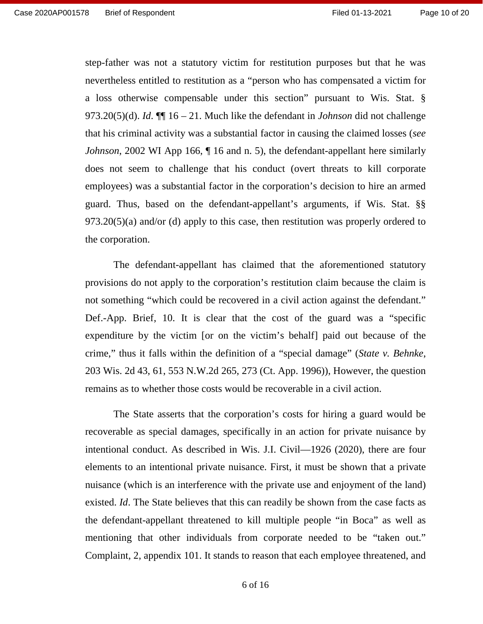step-father was not a statutory victim for restitution purposes but that he was step-father was not a statutory victim for restitution purposes but that he was<br>nevertheless entitled to restitution as a "person who has compensated a victim for a loss otherwise compensable under this section" pursuant to Wis. Stat. § 973.20(5)(d). *Id*.  $\P\P$  16 – 21. Much like the defendant in *Johnson* did not challenge that his criminal activity was a substantial factor in cau 973.20(5)(d). *Id.*  $\P$ [16 – 21. Much like the defendant in *Johnson* did not challenge that his criminal activity was a substantial factor in causing the claimed losses (see Johnson, 2002 WI App 166, ¶ 16 and n. 5), the defendant-appellant here similarly *Johnson*, 2002 WI App 166, ¶ 16 and n. 5), the defendant-appellant here similarly does not seem to challenge that his conduct (overt threats to kill corporate does not seem to challenge that his conduct (overt threats to kill corporate employees) was a substantial factor in the corporation's decision to hire an armed employees) was a substantial factor in the corporation's decision to hire an armed guard. Thus, based on the defendant-appellant's arguments, if Wis. Stat. §§ guard. Thus, based on the defendant-appellant's arguments, if Wis. Stat. §§ 973.20(5)(a) and/or (d) apply to this case, then restitution was properly ordered to 973.20(5)(a) and/or (d) apply to this case, then restitution was properly ordered to the corporation. the corporation.

The defendant-appellant has claimed that the aforementioned statutory The defendant-appellant has claimed that the aforementioned statutory provisions do not apply to the corporation's restitution claim because the claim is<br>not something "which could be recovered in a civil action against the defendant." not something "which could be recovered in a civil action against the defendant." Def.-App. Brief, 10. It is clear that the cost of the guard was a "specific expenditure by the victim [or on the victim's behalf] paid out because of the crime," thus it falls within the definition of a "special damage" (State v. Behnke, 203 Wis. 2d 43, 61, 553 N.W.2d 265, 273 (Ct. App. 1996)), However, the question remains as to whether those costs would be recoverable in a civil action. Def.-App. Brief, 10. It is clear that the cost of the guard was a "specific<br>expenditure by the victim [or on the victim's behalf] paid out because of the<br>crime," thus it falls within the definition of a "special damage" (

The State asserts that the corporation's costs for hiring a guard would be recoverable as special damages, specifically in an action for private nuisance by intentional conduct. As described in Wis. J.I. Civil—1926 (2020), there are four elements to an intentional private nuisance. First, it must be shown that a private nuisance (which is an interference with the private use and enjoyment of the land) existed. *Id*. The State believes that this can readily be shown from the case facts as the defendant-appellant threatened to kill multiple people "in Boca" as well as the defendant-appellant threatened to kill multiple people "in Boca" as well as mentioning that other individuals from corporate needed to be "taken out." mentioning that other individuals from corporate needed to be "taken out." Complaint, 2, appendix 101. It stands to reason that each employee threatened, and Complaint, 2, appendix 101. It stands to reason that each employee threatened, and

6 of 16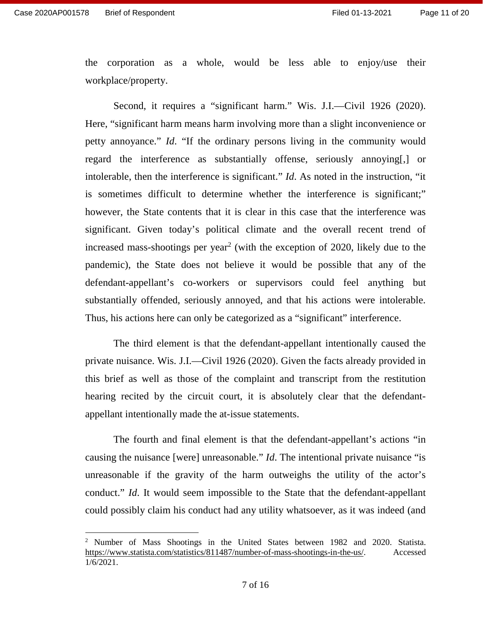the corporation as a whole, would be less able to enjoy/use their workplace/property. workplace/property.

Second, it requires a "significant harm." Wis. J.I.—Civil 1926 (2020). Here, "significant harm means harm involving more than a slight inconvenience or Second, it requires a "significant harm." Wis. J.I.—Civil 1926 (2020).<br>Here, "significant harm means harm involving more than a slight inconvenience or petty annoyance." *Id.* "If the ordinary persons living in the communi regard the interference as substantially offense, seriously annoying[,] or<br>intolerable, then the interference is significant." *Id*. As noted in the instruction, "it<br>is sometimes difficult to determine whether the interfer intolerable, then the interference is significant." *Id*. As noted in the instruction, "it is sometimes difficult to determine whether the interference is significant;" however, the State contents that it is clear in this case that the interference was however, the State contents that it is clear in this case that the interference was<br>significant. Given today's political climate and the overall recent trend of increased mass-shootings per year<sup>2</sup> (with the exception of 2020, likely due to the increased mass-shootings per year<sup>2</sup> (with the exception of 2020, likely due to the pandemic), the State does not believe it would be possible that any of the defendant-appellant's co-workers or supervisors could feel anything but<br>substantially offended, seriously annoyed, and that his actions were intolerable. substantially offended, seriously annoyed, and that his actions were intolerable. Thus, his actions here can only be categorized as a "significant" interference. First 0761578 Erist of Responsent<br>
the coopyristics a structure which would be less able to enjoyives their<br>
workshoce/property.<br>
Second, it requires a "significant harm." Wis J.I.—Givil 1926 (2020).<br>
Here, "significant h

The third element is that the defendant-appellant intentionally caused the Thus, his actions here can only be categorized as a "significant" interference.<br>The third element is that the defendant-appellant intentionally caused the<br>private nuisance. Wis. J.I.—Civil 1926 (2020). Given the facts alre this brief as well as those of the complaint and transcript from the restitution this brief as well as those of the complaint and transcript from the restitution<br>hearing recited by the circuit court, it is absolutely clear that the defendantappellant intentionally made the at-issue statements.

The fourth and final element is that the defendant-appellant's actions "in causing the nuisance [were] unreasonable." *Id*. The intentional private nuisance "is unreasonable if the gravity of the harm outweighs the utility of the actor's conduct." *Id.* It would seem impossible to the State that the defendant-appellant could possibly claim his conduct had any utility whatsoever, as it was indeed (and appellant intentionally made the at-issue statements.<br>The fourth and final element is that the defendant-appellant's actions "in<br>causing the nuisance [were] unreasonable." *Id*. The intentional private nuisance "is<br>unreaso

<sup>&</sup>lt;sup>2</sup> Number of Mass Shootings in the United States between 1982 and 2020. Statista. https://www.statista.com/statistics/811487/number-of-mass-shootings-in-the-us/. Accessed 1/6/2021.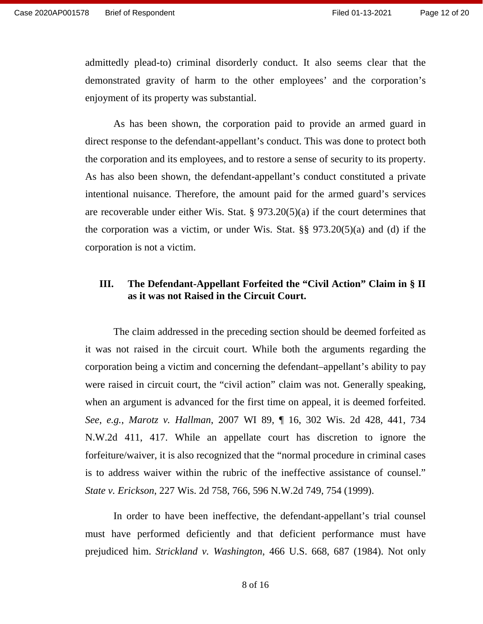admittedly plead-to) criminal disorderly conduct. It also seems clear that the admittedly plead-to) criminal disorderly conduct. It also seems clear that the demonstrated gravity of harm to the other employees' and the corporation's enjoyment of its property was substantial.

As has been shown, the corporation paid to provide an armed guard in direct response to the defendant-appellant's conduct. This was done to protect both the corporation and its employees, and to restore a sense of security to its property. As has also been shown, the defendant-appellant's conduct constituted a private intentional nuisance. Therefore, the amount paid for the armed guard's services are recoverable under either Wis. Stat. § 973.20(5)(a) if the court determines that the corporation was a victim, or under Wis. Stat. §§ 973.20(5)(a) and (d) if the corporation is not a victim. enjoyment of its property was substantial.<br>As has been shown, the corporation paid to provide an armed guard in direct response to the defendant-appellant's conduct. This was done to protect both the corporation and its employees, and to restore a sense of security to its property.<br>As has also been shown, the defendant-appellant's conduct constituted a private<br>intentional nuisance. Therefore, the amount paid for th

# **III.** The Defendant-Appellant Forfeited the "Civil Action" Claim in § II as it was not Raised in the Circuit Court. as it was not Raised in the Circuit Court.

The claim addressed in the preceding section should be deemed forfeited as The claim addressed in the preceding section should be deemed forfeited as<br>it was not raised in the circuit court. While both the arguments regarding the corporation being a victim and concerning the defendant—appellant's ability to pay corporation being a victim and concerning the defendant–appellant's ability to pay were raised in circuit court, the "civil action" claim was not. Generally speaking, when an argument is advanced for the first time on appeal, it is deemed forfeited. when an argument is advanced for the first time on appeal, it is deemed forfeited. See, e.g., Marotz v. Hallman, 2007 WI 89, ¶ 16, 302 Wis. 2d 428, 441, 734 N.W.2d 411, 417. While an appellate court has discretion to ignore the forfeiture/waiver, it is also recognized that the "normal procedure in criminal cases is to address waiver within the rubric of the ineffective assistance of counsel." State v. Erickson, 227 Wis. 2d 758, 766, 596 N.W.2d 749, 754 (1999). See, e.g., Marotz v. Hallman, 2007 WI 89, ¶ 16, 302 Wis. 2d 428, 441, 734 N.W.2d 411, 417. While an appellate court has discretion to ignore the forfeiture/waiver, it is also recognized that the "normal procedure in crimin

State v. Erickson, 227 Wis. 2d 758, 766, 596 N.W.2d 749, 754 (1999).<br>In order to have been ineffective, the defendant-appellant's trial counsel must have performed deficiently and that deficient performance must have must have performed deficiently and that deficient performance must have<br>prejudiced him. *Strickland v. Washington*, 466 U.S. 668, 687 (1984). Not only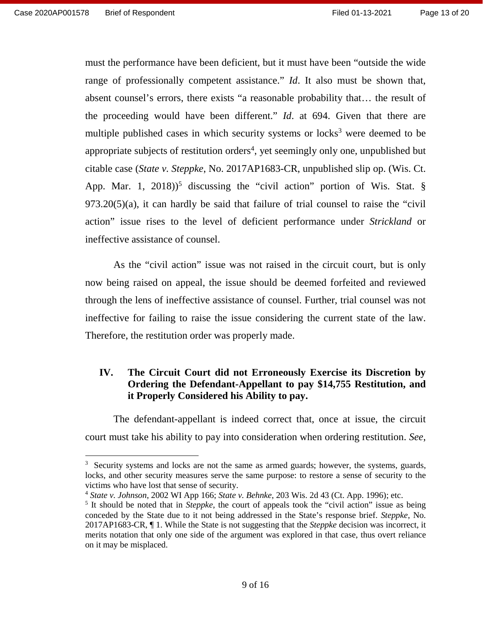must the performance have been deficient, but it must have been "outside the wide must the performance have been deficient, but it must have been "outside the wide<br>range of professionally competent assistance." *Id*. It also must be shown that, absent counsel's errors, there exists "a reasonable probability that... the result of absent counsel's errors, there exists "a reasonable probability that… the result of the proceeding would have been different." *Id.* at 694. Given that there are the proceeding would have been different." *Id.* at 694. Given that there are multiple published cases in which security systems or locks<sup>3</sup> were deemed to be appropriate subjects of restitution orders<sup>4</sup>, yet seemingly only one, unpublished but citable case (State v. Steppke, No. 2017AP1683-CR, unpublished slip op. (Wis. Ct. appropriate subjects of restitution orders<sup>4</sup>, yet seemingly only one, unpublished but<br>citable case (*State v. Steppke*, No. 2017AP1683-CR, unpublished slip op. (Wis. Ct.<br>App. Mar. 1, 2018)<sup>5</sup> discussing the "civil action App. Mar. 1, 2018))<sup>5</sup> discussing the "civil action" portion of Wis. Stat.  $\S$  973.20(5)(a), it can hardly be said that failure of trial counsel to raise the "civil" action" issue rises to the level of deficient performance under *Strickland* or<br>ineffective assistance of counsel.<br>As the "civil action" issue was not raised in the circuit court, but is only ineffective assistance of counsel.

As the "civil action" issue was not raised in the circuit court, but is only now being raised on appeal, the issue should be deemed forfeited and reviewed now being raised on appeal, the issue should be deemed forfeited and reviewed through the lens of ineffective assistance of counsel. Further, trial counsel was not through the lens of ineffective assistance of counsel. Further, trial counsel was not ineffective for failing to raise the issue considering the current state of the law. ineffective for failing to raise the issue considering the current state of the law. Therefore, the restitution order was properly made. Therefore, the restitution order was properly made.

#### IV. The Circuit Court did not Erroneously Exercise its Discretion by Ordering the Defendant-Appellant to pay \$14,755 Restitution, and it Properly Considered his Ability to pay. **IV. The Circuit Court did not Erroneously Exercise its Discretion by Ordering the Defendant-Appellant to pay \$14,755 Restitution, and it Properly Considered his Ability to pay.**

The defendant-appellant is indeed correct that, once at issue, the circuit The defendant-appellant is indeed correct that, once at issue, the circuit court must take his ability to pay into consideration when ordering restitution. See, court must take his ability to pay into consideration when ordering restitution. *See*,

<sup>&</sup>lt;sup>3</sup> Security systems and locks are not the same as armed guards; however, the systems, guards, locks, and other security measures serve the same purpose: to restore a sense of security to the victims who have lost that sense of security. <sup>3</sup> Security systems and locks are not the same as armed guards; however, the systems, guards, locks, and other security measures serve the same purpose: to restore a sense of security to the victims who have lost that sen

<sup>4</sup> State v. Johnson, 2002 WI App 166; State v. Behnke, 203 Wis. 2d 43 (Ct. App. 1996); etc. <sup>4</sup> *State v. Johnson*, 2002 WI App 166; *State v. Behnke*, 203 Wis. 2d 43 (Ct. App. 1996); etc.

<sup>&</sup>lt;sup>5</sup> It should be noted that in *Steppke*, the court of appeals took the "civil action" issue as being conceded by the State due to it not being addressed in the State's response brief. *Steppke*, No. conceded by the State due to it not being addressed in the State's response brief. Steppke, No. 2017AP1683-CR,  $\P$  1. While the State is not suggesting that the *Steppke* decision was incorrect, it merits notation that only one side of the argument was explored in that case, thus overt reliance on it may be misplaced. 2017AP1683-CR, ¶ 1. While the State is not suggesting that the *Steppke* decision was incorrect, it merits notation that only one side of the argument was explored in that case, thus overt reliance on it may be misplaced.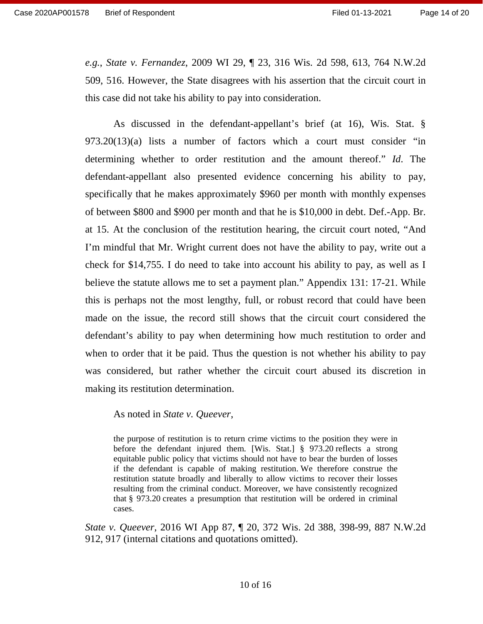e.g., State v. Fernandez, 2009 WI 29, ¶ 23, 316 Wis. 2d 598, 613, 764 N.W.2d 509, 516. However, the State disagrees with his assertion that the circuit court in 509, 516. However, the State disagrees with his assertion that the circuit court in this case did not take his ability to pay into consideration. this case did not take his ability to pay into consideration.

As discussed in the defendant-appellant's brief (at 16), Wis. Stat. § As discussed in the defendant-appellant's brief (at 16), Wis. Stat. § 973.20(13)(a) lists a number of factors which a court must consider "in determining whether to order restitution and the amount thereof." Id. The defendant-appellant also presented evidence concerning his ability to pay, specifically that he makes approximately \$960 per month with monthly expenses of between \$800 and \$900 per month and that he is \$10,000 in debt. Def.-App. Br. determining whether to order restitution and the amount thereof." *Id*. The defendant-appellant also presented evidence concerning his ability to pay, specifically that he makes approximately \$960 per month with monthly ex I'm mindful that Mr. Wright current does not have the ability to pay, write out a I'm mindful that Mr. Wright current does not have the ability to pay, write out a check for \$14,755. I do need to take into account his ability to pay, as well as I believe the statute allows me to set a payment plan." Appendix 131: 17-21. While<br>this is perhaps not the most lengthy, full, or robust record that could have been this is perhaps not the most lengthy, full, or robust record that could have been made on the issue, the record still shows that the circuit court considered the defendant's ability to pay when determining how much restitution to order and when to order that it be paid. Thus the question is not whether his ability to pay was considered, but rather whether the circuit court abused its discretion in making its restitution determination. made on the issue, the record still shows that the circuit court considered the defendant's ability to pay when determining how much restitution to order and when to order that it be paid. Thus the question is not whether

As noted in *State v. Queever*,

the purpose of restitution is to return crime victims to the position they were in the purpose of restitution is to return crime victims to the position they were in before the defendant injured them. [Wis. Stat.] § 973.20 reflects a strong equitable public policy that victims should not have to bear the burden of losses if the defendant is capable of making restitution. We therefore construe the restitution statute broadly and liberally to allow victims to recover their losses resulting from the criminal conduct. Moreover, we have consistently recognized that § 973.20 creates a presumption that restitution will be ordered in criminal cases. before the defendant injured them. [Wis. Stat.] § 973.20 reflects a strong equitable public policy that victims should not have to bear the burden of losses if the defendant is capable of making restitution. We therefore c restitution statute broadly and liberally to allow victims to recover their losses<br>resulting from the criminal conduct. Moreover, we have consistently recognized<br>that § 973.20 creates a presumption that restitution will be

State v. Queever, 2016 WI App 87, ¶ 20, 372 Wis. 2d 388, 398-99, 887 N.W.2d *State v. Queever*, 2016 WI App 87, ¶ 20, 372 Wis. 2d 388, 398-99, 887 N.W.2d 912, 917 (internal citations and quotations omitted). 912, 917 (internal citations and quotations omitted).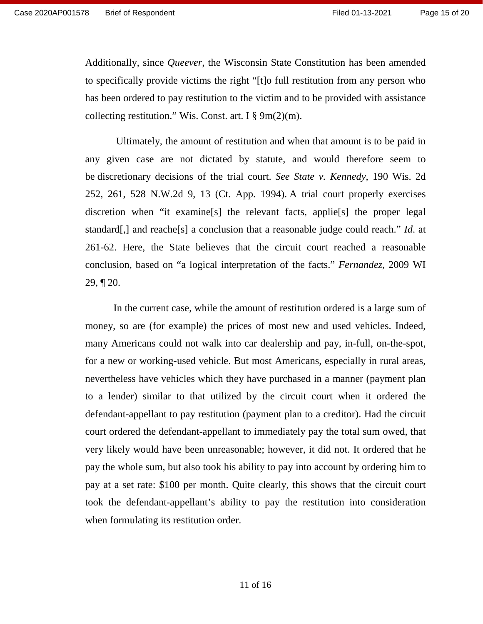Additionally, since Queever, the Wisconsin State Constitution has been amended Additionally, since *Queever*, the Wisconsin State Constitution has been amended to specifically provide victims the right "[t]o full restitution from any person who<br>has been ordered to pay restitution to the victim and to be provided with assistance<br>collecting restitution." Wis. Const. art. I  $\S 9m(2$ has been ordered to pay restitution to the victim and to be provided with assistance collecting restitution." Wis. Const. art. I  $\Sigma(m)$ .

Ultimately, the amount of restitution and when that amount is to be paid in any given case are not dictated by statute, and would therefore seem to be discretionary decisions of the trial court. See State v. Kennedy, 190 Wis. 2d be discretionary decisions of the trial court. See State v. Kennedy, 190 Wis. 2d 252, 261, 528 N.W.2d 9, 13 (Ct. App. 1994). A trial court properly exercises discretion when "it examine[s] the relevant facts, applie[s] the proper legal standard[,] and reache[s] a conclusion that a reasonable judge could reach." Id. at 261-62. Here, the State believes that the circuit court reached a reasonable conclusion, based on "a logical interpretation of the facts." Fernandez, 2009 WI  $29, \P 20.$ 252, 261, 528 N.W.2d 9, 13 (Ct. App. 1994). A trial court properly exercises discretion when "it examine[s] the relevant facts, applie[s] the proper legal standard[,] and reache[s] a conclusion that a reasonable judge cou

29, ¶ 20.<br>In the current case, while the amount of restitution ordered is a large sum of money, so are (for example) the prices of most new and used vehicles. Indeed, many Americans could not walk into car dealership and pay, in-full, on-the-spot, for a new or working-used vehicle. But most Americans, especially in rural areas, nevertheless have vehicles which they have purchased in a manner (payment plan nevertheless have vehicles which they have purchased in a manner (payment plan<br>to a lender) similar to that utilized by the circuit court when it ordered the defendant-appellant to pay restitution (payment plan to a creditor). Had the circuit court ordered the defendant-appellant to immediately pay the total sum owed, that very likely would have been unreasonable; however, it did not. It ordered that he pay the whole sum, but also took his ability to pay into account by ordering him to pay at a set rate: \$100 per month. Quite clearly, this shows that the circuit court took the defendant-appellant's ability to pay the restitution into consideration when formulating its restitution order. when formulating its restitution order. money, so are (for example) the prices of most new and used vehicles. Indeed,<br>many Americans could not walk into car dealership and pay, in-full, on-the-spot,<br>for a new or working-used vehicle. But most Americans, especial defendant-appellant to pay restitution (payment plan to a creditor). Had the circuit<br>court ordered the defendant-appellant to immediately pay the total sum owed, that<br>very likely would have been unreasonable; however, it d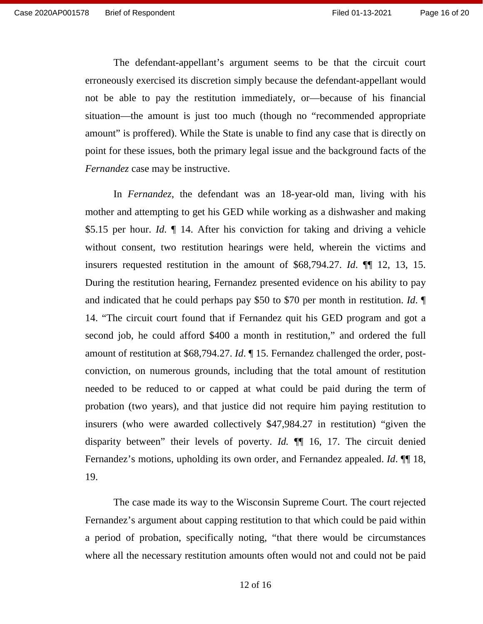The defendant-appellant's argument seems to be that the circuit court The defendant-appellant's argument seems to be that the circuit court<br>erroneously exercised its discretion simply because the defendant-appellant would not be able to pay the restitution immediately, or—because of his financial<br>situation—the amount is just too much (though no "recommended appropriate<br>amount" is proffered). While the State is unable to find any case that i situation—the amount is just too much (though no "recommended appropriate amount" is proffered). While the State is unable to find any case that is directly on point for these issues, both the primary legal issue and the background facts of the point for these issues, both the primary legal issue and the background facts of the Fernandez case may be instructive. *Fernandez* case may be instructive.

In Fernandez, the defendant was an 18-year-old man, living with his mother and attempting to get his GED while working as a dishwasher and making \$5.15 per hour. Id.  $\parallel$  14. After his conviction for taking and driving a vehicle without consent, two restitution hearings were held, wherein the victims and insurers requested restitution in the amount of \$68,794.27. Id. ¶¶ 12, 13, 15. insurers requested restitution in the amount of \$68,794.27. *Id*. ¶¶ 12, 13, 15. During the restitution hearing, Fernandez presented evidence on his ability to pay and indicated that he could perhaps pay \$50 to \$70 per month in restitution. *Id*. and indicated that he could perhaps pay \$50 to \$70 per month in restitution. Id. 14. "The circuit court found that if Fernandez quit his GED program and got a second job, he could afford \$400 a month in restitution," and ordered the full amount of restitution at \$68,794.27. *Id*.  $\P$  15. Fernandez chal second job, he could afford \$400 a month in restitution," and ordered the full amount of restitution at \$68,794.27. Id. ¶ 15. Fernandez challenged the order, postconviction, on numerous grounds, including that the total amount of restitution conviction, on numerous grounds, including that the total amount of restitution<br>needed to be reduced to or capped at what could be paid during the term of probation (two years), and that justice did not require him paying restitution to insurers (who were awarded collectively \$47,984.27 in restitution) "given the insurers (who were awarded collectively \$47,984.27 in restitution) "given the disparity between" their levels of poverty. *Id.*  $\P$  16, 17. The circuit denied Fernandez's motions, upholding its own order, and Fernandez appealed. *Id.*  $\P$  18, 19.<br>The case made its way to the Wisconsin Supreme Court Fernandez's motions, upholding its own order, and Fernandez appealed. *Id.* 11119, 19. In *Fernandez*, the defendant was an 18-year-old man, living with his mother and attempting to get his GED while working as a dishwasher and making \$5.15 per hour. *Id.*  $\P$  14. After his conviction for taking and driving

The case made its way to the Wisconsin Supreme Court. The court rejected Fernandez's argument about capping restitution to that which could be paid within Fernandez's argument about capping restitution to that which could be paid within a period of probation, specifically noting, "that there would be circumstances a period of probation, specifically noting, "that there would be circumstances<br>where all the necessary restitution amounts often would not and could not be paid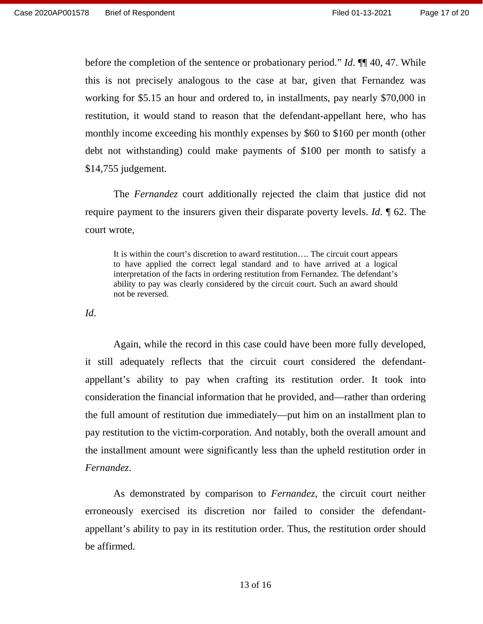before the completion of the sentence or probationary period."  $Id$ .  $\P\P$  40, 47. While this is not precisely analogous to the case at bar, given that Fernandez was this is not precisely analogous to the case at bar, given that Fernandez was working for \$5.15 an hour and ordered to, in installments, pay nearly \$70,000 in restitution, it would stand to reason that the defendant-appellant here, who has working for \$5.15 an hour and ordered to, in installments, pay nearly \$70,000 in<br>restitution, it would stand to reason that the defendant-appellant here, who has<br>monthly income exceeding his monthly expenses by \$60 to \$160 debt not withstanding) could make payments of \$100 per month to satisfy a \$14,755 judgement. \$14,755 judgement.

The *Fernandez* court additionally rejected the claim that justice did not require payment to the insurers given their disparate poverty levels. Id. ¶ 62. The court wrote, The *Fernandez* court additionally rejected the claim that justice did not require payment to the insurers given their disparate poverty levels. *Id*. ¶ 62. The court wrote,

It is within the court's discretion to award restitution.... The circuit court appears to have applied the correct legal standard and to have arrived at a logical interpretation of the facts in ordering restitution from Fernandez. The defendant's ability to pay was clearly considered by the circuit court. Such an award should not be reversed. not be reversed. It is within the court's discretion to award restitution.... The circuit court appears<br>to have applied the correct legal standard and to have arrived at a logical<br>interpretation of the facts in ordering restitution from Fe

Id.

Again, while the record in this case could have been more fully developed, Id.<br>Again, while the record in this case could have been more fully developed,<br>it still adequately reflects that the circuit court considered the defendantappellant's ability to pay when crafting its restitution order. It took into<br>consideration the financial information that he provided, and—rather than ordering consideration the financial information that he provided, and—rather than ordering the full amount of restitution due immediately—put him on an installment plan to<br>pay restitution to the victim-corporation. And notably, both the overall amount and pay restitution to the victim-corporation. And notably, both the overall amount and the installment amount were significantly less than the upheld restitution order in the installment amount were significantly less than the upheld restitution order in Fernandez. Ease 2020AP001578 Brief of Respondent<br>
Filied 01-13-2021<br>
herence the completion of the sentence or probationary period."  $\hbar t$ ,  $\phi$  then there in<br>
this is not precisely analogous to the case at bar, given that Ferman<br>

As demonstrated by comparison to Fernandez, the circuit court neither *Fernandez*. As demonstrated by comparison to *Fernandez*, the circuit court neither erroneously exercised its discretion nor failed to consider the defendant-erroneously exercised its discretion nor failed to consider the defendantappellant's ability to pay in its restitution order. Thus, the restitution order should appellant's ability to pay in its restitution order. Thus, the restitution order should be affirmed.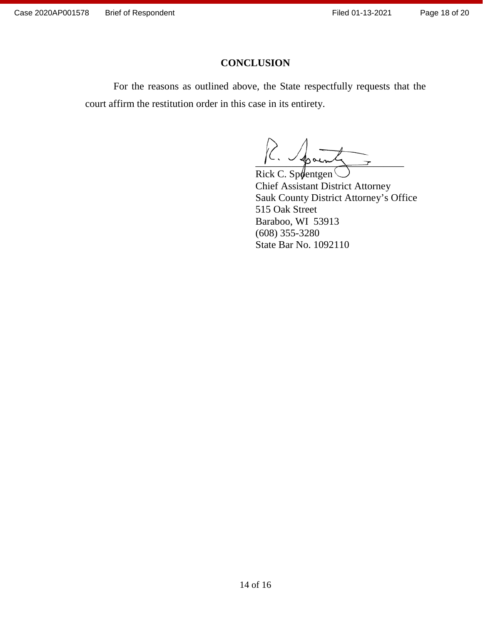#### Page 18 of 20

#### CONCLUSION **CONCLUSION**

For the reasons as outlined above, the State respectfully requests that the For the reasons as outlined above, the State respectfully requests that the court affirm the restitution order in this case in its entirety. court affirm the restitution order in this case in its entirety.

 $K.$  Spant

Rick C. Sp $\phi$ entgen Chief Assistant District Attorney Chief Assistant District Attorney Sauk County District Attorney's Office Sauk County District Attorney's Office 515 Oak Street 515 Oak Street Baraboo, WI 53913 Baraboo, WI 53913 (608) 355-3280 State Bar No. 1092110 CONCLUSION<br>
Filed 01-13-2021<br>
Filed 01-13-2021<br>
Filed 01-13-2021<br>
Filed 01-13-2021<br>
Filed 01-13-2021<br>
Filed 01-13-2021<br>
Filed 01-13-2021<br>
CONCLUSION<br>
Filed 01-13-2021<br>
Concert Cassical District Attorney<br>
Concert Cassical D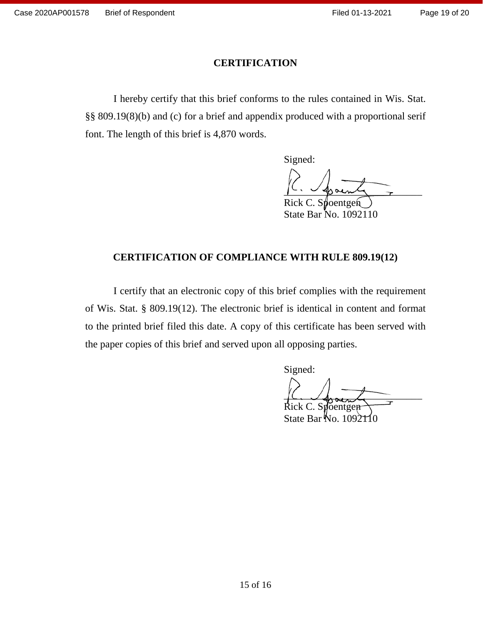#### Page 19 of 20

# CERTIFICATION **CERTIFICATION**

I hereby certify that this brief conforms to the rules contained in Wis. Stat I hereby certify that this brief conforms to the rules contained in Wis. Stat. §§ 809.19(8)(b) and (c) for a brief and appendix produced with a proportional serif §§ 809.19(8)(b) and (c) for a brief and appendix produced with a proportional serif font. The length of this brief is 4,870 words. font. The length of this brief is 4,870 words.

Signed:

Signed:<br>R. Spainl

Rick C. S State Bar No. 1092110 State Bar No. 1092110 poentgent

# CERTIFICATION OF COMPLIANCE WITH RULE 809.19(12) **CERTIFICATION OF COMPLIANCE WITH RULE 809.19(12)**

I certify that an electronic copy of this brief complies with the requirement I certify that an electronic copy of this brief complies with the requirement of Wis. Stat.  $\S$  809.19(12). The electronic brief is identical in content and format<br>to the printed brief filed this date. A copy of this certificate has been served with to the printed brief filed this date. A copy of this certificate has been served with the paper copies of this brief and served upon all opposing parties. the paper copies of this brief and served upon all opposing parties. Signed: CERTIFICATION<br>
Thereby certify that this brief conforms to the rules contained in W<br>
SS 809.19(8)(b) and (c) for a brief and appendix produced with a proportio<br>
font. The length of this brief is 4.870 words.<br>
Signed:<br>
Ric

Signed:

 $ick C.$  Spoentgen State Bar  $\text{No. } 1092110$  $LC, Y$ Rick C. Spoentgen